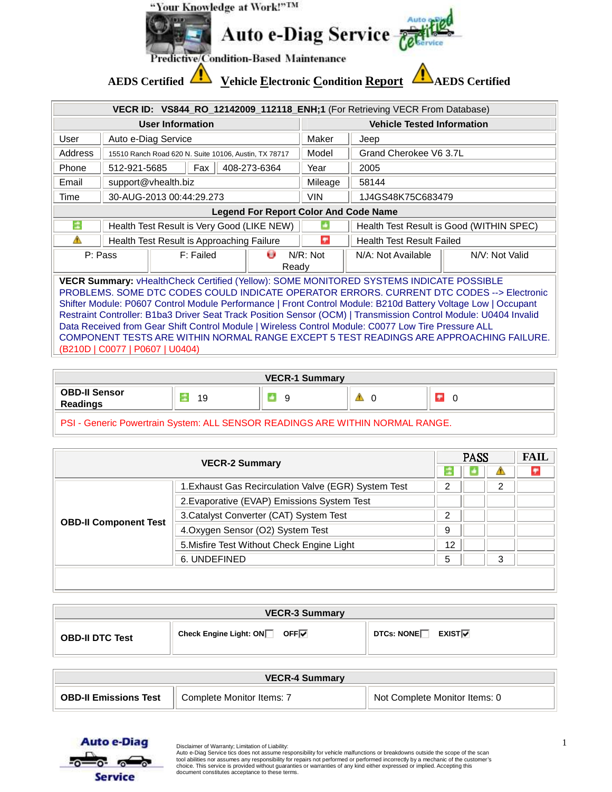

|                                                                                                                                                                                                                                                                                                                                                                                                                                                                                                                                                                                                                                                                | VECR ID: VS844_RO_12142009_112118_ENH;1 (For Retrieving VECR From Database) |                                                       |                                   |             |                                          |                |  |
|----------------------------------------------------------------------------------------------------------------------------------------------------------------------------------------------------------------------------------------------------------------------------------------------------------------------------------------------------------------------------------------------------------------------------------------------------------------------------------------------------------------------------------------------------------------------------------------------------------------------------------------------------------------|-----------------------------------------------------------------------------|-------------------------------------------------------|-----------------------------------|-------------|------------------------------------------|----------------|--|
| <b>User Information</b>                                                                                                                                                                                                                                                                                                                                                                                                                                                                                                                                                                                                                                        |                                                                             |                                                       | <b>Vehicle Tested Information</b> |             |                                          |                |  |
| User                                                                                                                                                                                                                                                                                                                                                                                                                                                                                                                                                                                                                                                           |                                                                             | Auto e-Diag Service                                   |                                   | Maker       | Jeep                                     |                |  |
| Address                                                                                                                                                                                                                                                                                                                                                                                                                                                                                                                                                                                                                                                        |                                                                             | 15510 Ranch Road 620 N. Suite 10106, Austin, TX 78717 |                                   | Model       | Grand Cherokee V6 3.7L                   |                |  |
| Phone                                                                                                                                                                                                                                                                                                                                                                                                                                                                                                                                                                                                                                                          | 512-921-5685                                                                | Fax                                                   | 408-273-6364                      | Year        | 2005                                     |                |  |
| Email                                                                                                                                                                                                                                                                                                                                                                                                                                                                                                                                                                                                                                                          |                                                                             | support@vhealth.biz                                   |                                   | Mileage     | 58144                                    |                |  |
| Time                                                                                                                                                                                                                                                                                                                                                                                                                                                                                                                                                                                                                                                           |                                                                             | 30-AUG-2013 00:44:29.273                              |                                   | <b>VIN</b>  | 1J4GS48K75C683479                        |                |  |
|                                                                                                                                                                                                                                                                                                                                                                                                                                                                                                                                                                                                                                                                | <b>Legend For Report Color And Code Name</b>                                |                                                       |                                   |             |                                          |                |  |
| ÷                                                                                                                                                                                                                                                                                                                                                                                                                                                                                                                                                                                                                                                              |                                                                             | Health Test Result is Very Good (LIKE NEW)            |                                   |             | Health Test Result is Good (WITHIN SPEC) |                |  |
| Δ                                                                                                                                                                                                                                                                                                                                                                                                                                                                                                                                                                                                                                                              |                                                                             | Health Test Result is Approaching Failure             |                                   | ÷           | <b>Health Test Result Failed</b>         |                |  |
| P: Pass                                                                                                                                                                                                                                                                                                                                                                                                                                                                                                                                                                                                                                                        |                                                                             | F: Failed                                             | Θ<br>Ready                        | $N/R$ : Not | N/A: Not Available                       | N/V: Not Valid |  |
| VECR Summary: vHealthCheck Certified (Yellow): SOME MONITORED SYSTEMS INDICATE POSSIBLE<br>PROBLEMS. SOME DTC CODES COULD INDICATE OPERATOR ERRORS. CURRENT DTC CODES --> Electronic<br>Shifter Module: P0607 Control Module Performance   Front Control Module: B210d Battery Voltage Low   Occupant<br>Restraint Controller: B1ba3 Driver Seat Track Position Sensor (OCM)   Transmission Control Module: U0404 Invalid<br>Data Received from Gear Shift Control Module   Wireless Control Module: C0077 Low Tire Pressure ALL<br>COMPONENT TESTS ARE WITHIN NORMAL RANGE EXCEPT 5 TEST READINGS ARE APPROACHING FAILURE.<br>(B210D   C0077   P0607   U0404) |                                                                             |                                                       |                                   |             |                                          |                |  |

| <b>VECR-1 Summary</b>                                                                    |    |   |  |   |  |
|------------------------------------------------------------------------------------------|----|---|--|---|--|
| <b>OBD-II Sensor</b><br><b>Readings</b>                                                  | 19 | a |  | ٠ |  |
| <b>DOLLO JULIUS DUCCINI CONTRACTO DO CONTRACTO DE ADE MUTUBLICO A DI CONTRA LO DANOE</b> |    |   |  |   |  |

PSI - Generic Powertrain System: ALL SENSOR READINGS ARE WITHIN NORMAL RANGE.

| <b>FAIL</b><br><b>PASS</b><br><b>VECR-2 Summary</b> |                                                      |    |  |   |  |
|-----------------------------------------------------|------------------------------------------------------|----|--|---|--|
|                                                     |                                                      |    |  |   |  |
|                                                     | 1. Exhaust Gas Recirculation Valve (EGR) System Test | ົ  |  |   |  |
|                                                     | 2. Evaporative (EVAP) Emissions System Test          |    |  |   |  |
| <b>OBD-II Component Test</b>                        | 3. Catalyst Converter (CAT) System Test              |    |  |   |  |
|                                                     | 4. Oxygen Sensor (O2) System Test                    | 9  |  |   |  |
|                                                     | 5. Misfire Test Without Check Engine Light           | 12 |  |   |  |
|                                                     | 6. UNDEFINED                                         | 5  |  | З |  |
|                                                     |                                                      |    |  |   |  |

| <b>VECR-3 Summary</b>  |                             |                                        |  |  |
|------------------------|-----------------------------|----------------------------------------|--|--|
| <b>OBD-II DTC Test</b> | Check Engine Light: ON□ OFF | DTCs: NONE $\Box$ EXIST $\overline{V}$ |  |  |

| <b>VECR-4 Summary</b>        |                           |                               |  |  |
|------------------------------|---------------------------|-------------------------------|--|--|
| <b>OBD-II Emissions Test</b> | Complete Monitor Items: 7 | Not Complete Monitor Items: 0 |  |  |

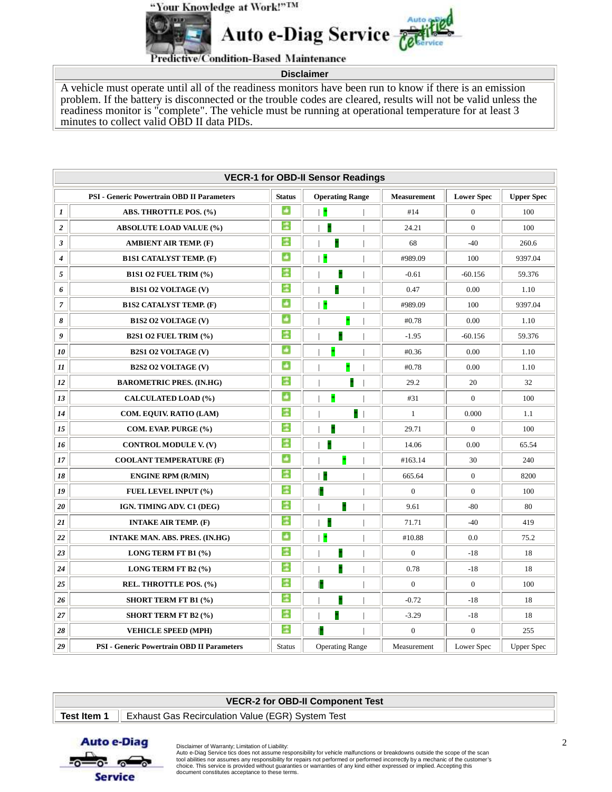"Your Knowledge at Work!"IM



**Predictive/Condition-Based Maintenance** 

**Disclaimer** 

A vehicle must operate until all of the readiness monitors have been run to know if there is an emission problem. If the battery is disconnected or the trouble codes are cleared, results will not be valid unless the readiness monitor is "complete". The vehicle must be running at operational temperature for at least 3 minutes to collect valid OBD II data PIDs.

|                  | <b>VECR-1 for OBD-II Sensor Readings</b>          |               |                        |   |                    |                   |                   |  |
|------------------|---------------------------------------------------|---------------|------------------------|---|--------------------|-------------------|-------------------|--|
|                  | <b>PSI - Generic Powertrain OBD II Parameters</b> | <b>Status</b> | <b>Operating Range</b> |   | <b>Measurement</b> | <b>Lower Spec</b> | <b>Upper Spec</b> |  |
| $\boldsymbol{l}$ | ABS. THROTTLE POS. (%)                            | ø             | $\ast$                 |   | #14                | $\overline{0}$    | 100               |  |
| $\boldsymbol{2}$ | <b>ABSOLUTE LOAD VALUE (%)</b>                    | 滥             | ×                      |   | 24.21              | $\overline{0}$    | 100               |  |
| $\mathfrak{z}$   | <b>AMBIENT AIR TEMP. (F)</b>                      | ÷             |                        |   | 68                 | $-40$             | 260.6             |  |
| $\boldsymbol{4}$ | <b>B1S1 CATALYST TEMP. (F)</b>                    | ø             | ×                      |   | #989.09            | 100               | 9397.04           |  |
| 5                | B1S1 O2 FUEL TRIM (%)                             | 滥             |                        |   | $-0.61$            | $-60.156$         | 59.376            |  |
| 6                | <b>B1S1 O2 VOLTAGE (V)</b>                        | ż             |                        |   | 0.47               | 0.00              | 1.10              |  |
| $\overline{7}$   | <b>B1S2 CATALYST TEMP. (F)</b>                    | ď             | ×                      |   | #989.09            | 100               | 9397.04           |  |
| 8                | <b>B1S2 O2 VOLTAGE (V)</b>                        | ø             |                        |   | #0.78              | 0.00              | 1.10              |  |
| 9                | <b>B2S1 O2 FUEL TRIM (%)</b>                      | ÷             | ×                      |   | $-1.95$            | $-60.156$         | 59.376            |  |
| 10               | <b>B2S1 O2 VOLTAGE (V)</b>                        | ď             | ×                      |   | #0.36              | 0.00              | 1.10              |  |
| 11               | <b>B2S2 O2 VOLTAGE (V)</b>                        | ø             |                        |   | #0.78              | 0.00              | 1.10              |  |
| 12               | <b>BAROMETRIC PRES. (IN.HG)</b>                   | ÷             |                        |   | 29.2               | 20                | 32                |  |
| 13               | <b>CALCULATED LOAD (%)</b>                        | ø             | ×                      |   | #31                | $\overline{0}$    | 100               |  |
| 14               | COM. EQUIV. RATIO (LAM)                           | ÷             |                        | × | $\mathbf{1}$       | 0.000             | 1.1               |  |
| 15               | COM. EVAP. PURGE (%)                              | 滥             | ×                      |   | 29.71              | $\overline{0}$    | 100               |  |
| 16               | <b>CONTROL MODULE V. (V)</b>                      | ÷             |                        |   | 14.06              | 0.00              | 65.54             |  |
| 17               | <b>COOLANT TEMPERATURE (F)</b>                    | Ŧ             | ×                      |   | #163.14            | 30                | 240               |  |
| 18               | <b>ENGINE RPM (R/MIN)</b>                         | ż             | $\ast$                 |   | 665.64             | $\overline{0}$    | 8200              |  |
| 19               | FUEL LEVEL INPUT (%)                              | 滥             | P                      |   | $\overline{0}$     | $\mathbf{0}$      | 100               |  |
| 20               | IGN. TIMING ADV. C1 (DEG)                         | 滥             |                        |   | 9.61               | $-80$             | 80                |  |
| 21               | <b>INTAKE AIR TEMP. (F)</b>                       | ÷             |                        |   | 71.71              | $-40$             | 419               |  |
| 22               | <b>INTAKE MAN. ABS. PRES. (IN.HG)</b>             | a.            | ×                      |   | #10.88             | 0.0               | 75.2              |  |
| 23               | LONG TERM FT B1 (%)                               | ż             | ×                      |   | $\overline{0}$     | $-18$             | 18                |  |
| 24               | LONG TERM FT B2 (%)                               | ÷             | þ                      |   | 0.78               | $-18$             | 18                |  |
| 25               | REL. THROTTLE POS. (%)                            | ÷             |                        |   | $\overline{0}$     | $\overline{0}$    | 100               |  |
| 26               | <b>SHORT TERM FT B1 (%)</b>                       | ÷             |                        |   | $-0.72$            | $-18$             | 18                |  |
| 27               | <b>SHORT TERM FT B2 (%)</b>                       | ÷             |                        |   | $-3.29$            | $-18$             | 18                |  |
| 28               | <b>VEHICLE SPEED (MPH)</b>                        | ż             |                        |   | $\overline{0}$     | $\mathbf{0}$      | 255               |  |
| 29               | <b>PSI - Generic Powertrain OBD II Parameters</b> | <b>Status</b> | <b>Operating Range</b> |   | Measurement        | Lower Spec        | <b>Upper Spec</b> |  |

| VECR-2 for OBD-II Component Test |                                                                        |  |  |  |
|----------------------------------|------------------------------------------------------------------------|--|--|--|
|                                  | <b>Test Item 1</b>   Exhaust Gas Recirculation Value (EGR) System Test |  |  |  |



 $\frac{1}{\sqrt{2}}$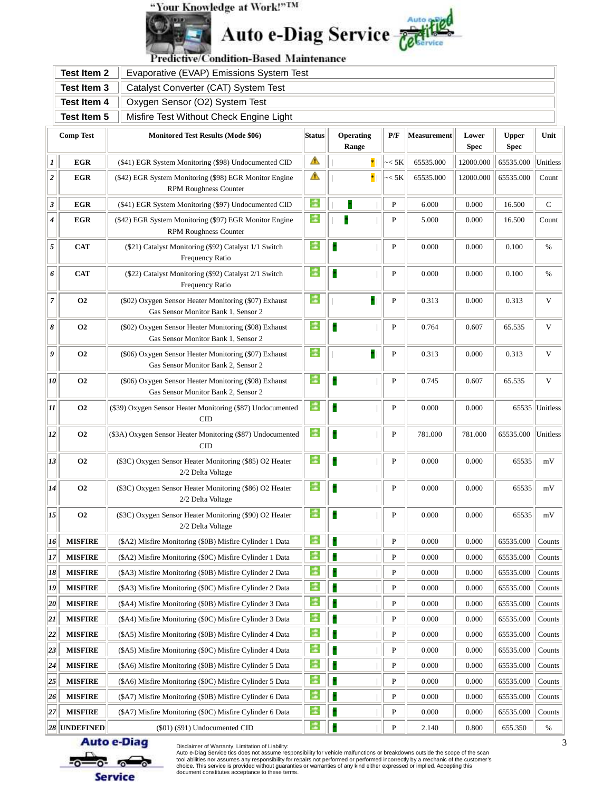## "Your Knowledge at Work!"IM





Predictive/Condition-Based Maintenance

|                                                      | <b>Test Item 2</b> | Evaporative (EVAP) Emissions System Test                                                     |               |                    |              |             |                      |                             |          |
|------------------------------------------------------|--------------------|----------------------------------------------------------------------------------------------|---------------|--------------------|--------------|-------------|----------------------|-----------------------------|----------|
|                                                      | <b>Test Item 3</b> | Catalyst Converter (CAT) System Test                                                         |               |                    |              |             |                      |                             |          |
| <b>Test Item 4</b><br>Oxygen Sensor (O2) System Test |                    |                                                                                              |               |                    |              |             |                      |                             |          |
|                                                      | <b>Test Item 5</b> | Misfire Test Without Check Engine Light                                                      |               |                    |              |             |                      |                             |          |
|                                                      | <b>Comp Test</b>   | <b>Monitored Test Results (Mode \$06)</b>                                                    | <b>Status</b> | Operating<br>Range | P/F          | Measurement | Lower<br><b>Spec</b> | <b>Upper</b><br><b>Spec</b> | Unit     |
| 1                                                    | <b>EGR</b>         | (\$41) EGR System Monitoring (\$98) Undocumented CID                                         | А             | $*$                | << 5K        | 65535.000   | 12000.000            | 65535.000                   | Unitless |
| $\boldsymbol{2}$                                     | <b>EGR</b>         | (\$42) EGR System Monitoring (\$98) EGR Monitor Engine<br><b>RPM Roughness Counter</b>       | Δ             | $*$                | << 5K        | 65535.000   | 12000.000            | 65535.000                   | Count    |
| 3                                                    | <b>EGR</b>         | (\$41) EGR System Monitoring (\$97) Undocumented CID                                         | ÷             |                    | $\, {\bf P}$ | 6.000       | 0.000                | 16.500                      | C        |
| $\boldsymbol{4}$                                     | EGR                | (\$42) EGR System Monitoring (\$97) EGR Monitor Engine<br><b>RPM Roughness Counter</b>       | ÷             |                    | P            | 5.000       | 0.000                | 16.500                      | Count    |
| $\sqrt{5}$                                           | <b>CAT</b>         | (\$21) Catalyst Monitoring (\$92) Catalyst 1/1 Switch<br>Frequency Ratio                     | ÷             |                    | P            | 0.000       | 0.000                | 0.100                       | %        |
| 6                                                    | <b>CAT</b>         | (\$22) Catalyst Monitoring (\$92) Catalyst 2/1 Switch<br>Frequency Ratio                     | 滥             |                    | P            | 0.000       | 0.000                | 0.100                       | $\%$     |
| $\overline{7}$                                       | <b>O2</b>          | (\$02) Oxygen Sensor Heater Monitoring (\$07) Exhaust<br>Gas Sensor Monitor Bank 1, Sensor 2 | ÷             | ×                  | ${\bf P}$    | 0.313       | 0.000                | 0.313                       | V        |
| 8                                                    | <b>O2</b>          | (\$02) Oxygen Sensor Heater Monitoring (\$08) Exhaust<br>Gas Sensor Monitor Bank 1, Sensor 2 | ÷             |                    | ${\bf P}$    | 0.764       | 0.607                | 65.535                      | V        |
| 9                                                    | <b>O2</b>          | (\$06) Oxygen Sensor Heater Monitoring (\$07) Exhaust<br>Gas Sensor Monitor Bank 2, Sensor 2 | ÷             | ×                  | ${\bf P}$    | 0.313       | 0.000                | 0.313                       | V        |
| 10                                                   | <b>O2</b>          | (\$06) Oxygen Sensor Heater Monitoring (\$08) Exhaust<br>Gas Sensor Monitor Bank 2, Sensor 2 | ÷             |                    | P            | 0.745       | 0.607                | 65.535                      | V        |
| 11                                                   | <b>O2</b>          | (\$39) Oxygen Sensor Heater Monitoring (\$87) Undocumented<br>$\overline{\rm CID}$           | 滥             |                    | ${\bf P}$    | 0.000       | 0.000                | 65535                       | Unitless |
| 12                                                   | <b>O2</b>          | (\$3A) Oxygen Sensor Heater Monitoring (\$87) Undocumented<br>$\rm CID$                      | ÷             |                    | P            | 781.000     | 781.000              | 65535.000                   | Unitless |
| 13                                                   | <b>O2</b>          | (\$3C) Oxygen Sensor Heater Monitoring (\$85) O2 Heater<br>2/2 Delta Voltage                 | ÷             |                    | P            | 0.000       | 0.000                | 65535                       | mV       |
| 14                                                   | <b>O2</b>          | (\$3C) Oxygen Sensor Heater Monitoring (\$86) O2 Heater<br>2/2 Delta Voltage                 | ÷             |                    | P            | 0.000       | 0.000                | 65535                       | mV       |
| 15                                                   | <b>O2</b>          | (\$3C) Oxygen Sensor Heater Monitoring (\$90) O2 Heater<br>2/2 Delta Voltage                 |               | 保<br>$\mathbf{I}$  | $\, {\bf P}$ | 0.000       | 0.000                | 65535                       | mV       |
| $\vert$ 16                                           | <b>MISFIRE</b>     | (\$A2) Misfire Monitoring (\$0B) Misfire Cylinder 1 Data                                     | ÷             |                    | P            | 0.000       | 0.000                | 65535.000                   | Counts   |
| 17                                                   | <b>MISFIRE</b>     | (\$A2) Misfire Monitoring (\$0C) Misfire Cylinder 1 Data                                     | ÷             |                    | P            | 0.000       | 0.000                | 65535.000                   | Counts   |
| 18                                                   | <b>MISFIRE</b>     | (\$A3) Misfire Monitoring (\$0B) Misfire Cylinder 2 Data                                     | ÷             |                    | P            | 0.000       | 0.000                | 65535.000                   | Counts   |
| 19                                                   | <b>MISFIRE</b>     | (\$A3) Misfire Monitoring (\$0C) Misfire Cylinder 2 Data                                     | ÷             |                    | P            | 0.000       | 0.000                | 65535.000                   | Counts   |
| 20                                                   | <b>MISFIRE</b>     | (\$A4) Misfire Monitoring (\$0B) Misfire Cylinder 3 Data                                     | ÷             |                    | P            | 0.000       | 0.000                | 65535.000                   | Counts   |
| 21                                                   | <b>MISFIRE</b>     | (\$A4) Misfire Monitoring (\$0C) Misfire Cylinder 3 Data                                     | ÷             |                    | P            | 0.000       | 0.000                | 65535.000                   | Counts   |
| 22                                                   | <b>MISFIRE</b>     | (\$A5) Misfire Monitoring (\$0B) Misfire Cylinder 4 Data                                     | ÷             |                    | P            | 0.000       | 0.000                | 65535.000                   | Counts   |
| 23                                                   | <b>MISFIRE</b>     | (\$A5) Misfire Monitoring (\$0C) Misfire Cylinder 4 Data                                     |               |                    | P            | 0.000       | 0.000                | 65535.000                   | Counts   |
| 24                                                   | <b>MISFIRE</b>     | (\$A6) Misfire Monitoring (\$0B) Misfire Cylinder 5 Data                                     | ÷             |                    | P            | 0.000       | 0.000                | 65535.000                   | Counts   |
| 25                                                   | <b>MISFIRE</b>     | (\$A6) Misfire Monitoring (\$0C) Misfire Cylinder 5 Data                                     | ÷             |                    | P            | 0.000       | 0.000                | 65535.000                   | Counts   |
| 26                                                   | <b>MISFIRE</b>     | (\$A7) Misfire Monitoring (\$0B) Misfire Cylinder 6 Data                                     |               |                    | P            | 0.000       | 0.000                | 65535.000                   | Counts   |
| 27                                                   | <b>MISFIRE</b>     | (\$A7) Misfire Monitoring (\$0C) Misfire Cylinder 6 Data                                     |               |                    | P            | 0.000       | 0.000                | 65535.000                   | Counts   |
|                                                      | 28 UNDEFINED       | (\$01) (\$91) Undocumented CID                                                               |               |                    | $\mathbf{P}$ | 2.140       | 0.800                | 655.350                     | %        |

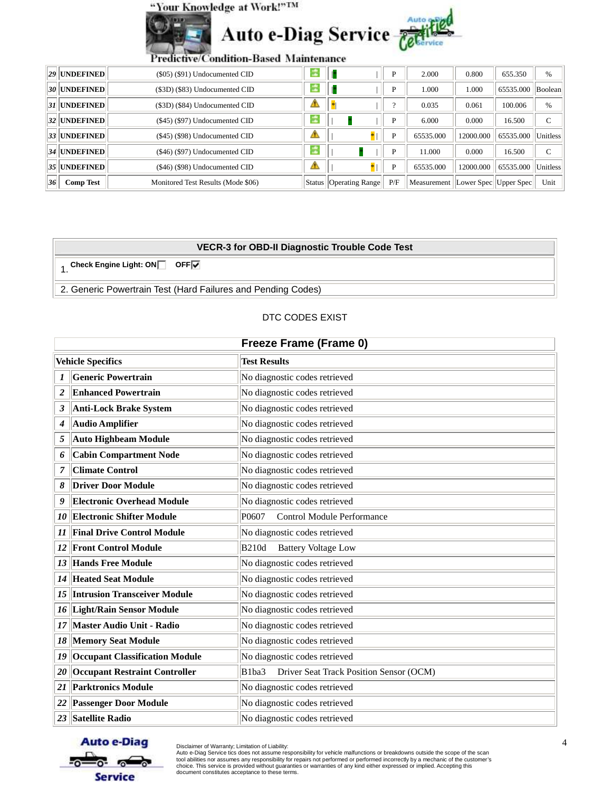



| Predictive/Condition-Based Maintenance |  |  |
|----------------------------------------|--|--|
| $(S05)$ (\$91) Undocumented CID        |  |  |
|                                        |  |  |

|    | 29 UNDEFINED     | $(\$05)$ $(\$91)$ Undocumented CID |             |                          | D   | 2.000                               | 0.800     | 655.350             | %                 |
|----|------------------|------------------------------------|-------------|--------------------------|-----|-------------------------------------|-----------|---------------------|-------------------|
|    | 30 UNDEFINED     | (\$3D) (\$83) Undocumented CID     |             |                          | D   | 000.1                               | 1.000     | 65535.000   Boolean |                   |
|    | 31 UNDEFINED     | (\$3D) (\$84) Undocumented CID     | <u> 190</u> |                          |     | 0.035                               | 0.061     | 100.006             | %                 |
|    | 32 UNDEFINED     | (\$45) (\$97) Undocumented CID     |             |                          | D   | 6.000                               | 0.000     | 16.500              | C                 |
|    | 33 UNDEFINED     | $(\$45)$ $(\$98)$ Undocumented CID |             |                          | D   | 65535.000                           | 12000.000 | 65535.000           | <b>I</b> Unitless |
|    | 34 UNDEFINED     | (\$46) (\$97) Undocumented CID     |             |                          | D   | 11.000                              | 0.000     | 16.500              | C                 |
|    | 35 UNDEFINED     | (\$46) (\$98) Undocumented CID     |             |                          | P   | 65535.000                           | 12000.000 | 65535.000           | <b>Unitless</b>   |
| 36 | <b>Comp Test</b> | Monitored Test Results (Mode \$06) |             | Status   Operating Range | P/F | Measurement  Lower Spec  Upper Spec |           |                     | Unit              |

## **VECR-3 for OBD-II Diagnostic Trouble Code Test**

1. Check Engine Light: ON**N** OFF<sub>IV</sub>

2. Generic Powertrain Test (Hard Failures and Pending Codes)

## DTC CODES EXIST

|                  | <b>Freeze Frame (Frame 0)</b>         |                                                              |  |  |  |
|------------------|---------------------------------------|--------------------------------------------------------------|--|--|--|
|                  | <b>Vehicle Specifics</b>              | <b>Test Results</b>                                          |  |  |  |
| $\boldsymbol{l}$ | <b>Generic Powertrain</b>             | No diagnostic codes retrieved                                |  |  |  |
| $\boldsymbol{2}$ | <b>Enhanced Powertrain</b>            | No diagnostic codes retrieved                                |  |  |  |
| 3                | Anti-Lock Brake System                | No diagnostic codes retrieved                                |  |  |  |
| 4                | Audio Amplifier                       | No diagnostic codes retrieved                                |  |  |  |
| 5                | <b>Auto Highbeam Module</b>           | No diagnostic codes retrieved                                |  |  |  |
| 6                | <b>Cabin Compartment Node</b>         | No diagnostic codes retrieved                                |  |  |  |
| 7                | <b>Climate Control</b>                | No diagnostic codes retrieved                                |  |  |  |
| 8                | <b>Driver Door Module</b>             | No diagnostic codes retrieved                                |  |  |  |
| 9                | <b>Electronic Overhead Module</b>     | No diagnostic codes retrieved                                |  |  |  |
| 10               | <b>Electronic Shifter Module</b>      | P0607<br><b>Control Module Performance</b>                   |  |  |  |
| 11               | <b>Final Drive Control Module</b>     | No diagnostic codes retrieved                                |  |  |  |
| 12               | <b>Front Control Module</b>           | <b>B210d</b><br><b>Battery Voltage Low</b>                   |  |  |  |
| 13               | <b>Hands Free Module</b>              | No diagnostic codes retrieved                                |  |  |  |
| 14               | <b>Heated Seat Module</b>             | No diagnostic codes retrieved                                |  |  |  |
| 15               | <b>Intrusion Transceiver Module</b>   | No diagnostic codes retrieved                                |  |  |  |
| 16               | <b>Light/Rain Sensor Module</b>       | No diagnostic codes retrieved                                |  |  |  |
| 17               | Master Audio Unit - Radio             | No diagnostic codes retrieved                                |  |  |  |
| 18               | <b>Memory Seat Module</b>             | No diagnostic codes retrieved                                |  |  |  |
| 19               | <b>Occupant Classification Module</b> | No diagnostic codes retrieved                                |  |  |  |
| 20               | <b>Occupant Restraint Controller</b>  | Driver Seat Track Position Sensor (OCM)<br>B <sub>1ba3</sub> |  |  |  |
| 21               | <b>Parktronics Module</b>             | No diagnostic codes retrieved                                |  |  |  |
| 22               | <b>Passenger Door Module</b>          | No diagnostic codes retrieved                                |  |  |  |
| 23               | Satellite Radio                       | No diagnostic codes retrieved                                |  |  |  |



Disclaimer of Warranty; Limitation of Liability:<br>Auto e-Diag Service tics does not assume responsibility for vehicle malfunctions or breakdowns outside the scope of the scan<br>tool abilities nor assumes any responsibility fo document constitutes acceptance to these terms.